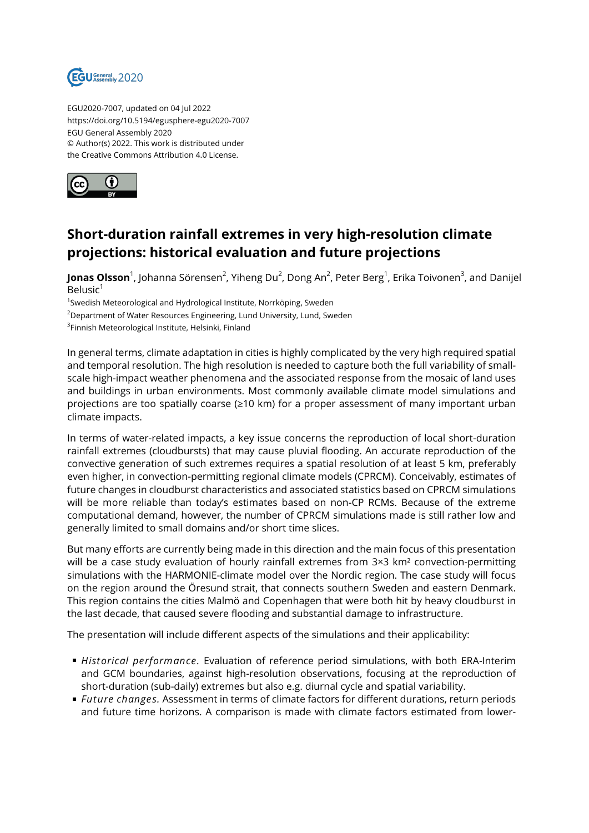

EGU2020-7007, updated on 04 Jul 2022 https://doi.org/10.5194/egusphere-egu2020-7007 EGU General Assembly 2020 © Author(s) 2022. This work is distributed under the Creative Commons Attribution 4.0 License.



## **Short-duration rainfall extremes in very high-resolution climate projections: historical evaluation and future projections**

**Jonas Olsson**<sup>1</sup>, Johanna Sörensen<sup>2</sup>, Yiheng Du<sup>2</sup>, Dong An<sup>2</sup>, Peter Berg<sup>1</sup>, Erika Toivonen<sup>3</sup>, and Danijel Belusic<sup>1</sup>

<sup>1</sup>Swedish Meteorological and Hydrological Institute, Norrköping, Sweden

<sup>2</sup>Department of Water Resources Engineering, Lund University, Lund, Sweden

<sup>3</sup>Finnish Meteorological Institute, Helsinki, Finland

In general terms, climate adaptation in cities is highly complicated by the very high required spatial and temporal resolution. The high resolution is needed to capture both the full variability of smallscale high-impact weather phenomena and the associated response from the mosaic of land uses and buildings in urban environments. Most commonly available climate model simulations and projections are too spatially coarse (≥10 km) for a proper assessment of many important urban climate impacts.

In terms of water-related impacts, a key issue concerns the reproduction of local short-duration rainfall extremes (cloudbursts) that may cause pluvial flooding. An accurate reproduction of the convective generation of such extremes requires a spatial resolution of at least 5 km, preferably even higher, in convection-permitting regional climate models (CPRCM). Conceivably, estimates of future changes in cloudburst characteristics and associated statistics based on CPRCM simulations will be more reliable than today's estimates based on non-CP RCMs. Because of the extreme computational demand, however, the number of CPRCM simulations made is still rather low and generally limited to small domains and/or short time slices.

But many efforts are currently being made in this direction and the main focus of this presentation will be a case study evaluation of hourly rainfall extremes from 3×3 km<sup>2</sup> convection-permitting simulations with the HARMONIE-climate model over the Nordic region. The case study will focus on the region around the Öresund strait, that connects southern Sweden and eastern Denmark. This region contains the cities Malmö and Copenhagen that were both hit by heavy cloudburst in the last decade, that caused severe flooding and substantial damage to infrastructure.

The presentation will include different aspects of the simulations and their applicability:

- *Historical performance.* Evaluation of reference period simulations, with both ERA-Interim and GCM boundaries, against high-resolution observations, focusing at the reproduction of short-duration (sub-daily) extremes but also e.g. diurnal cycle and spatial variability.
- *Future changes.* Assessment in terms of climate factors for different durations, return periods and future time horizons. A comparison is made with climate factors estimated from lower-